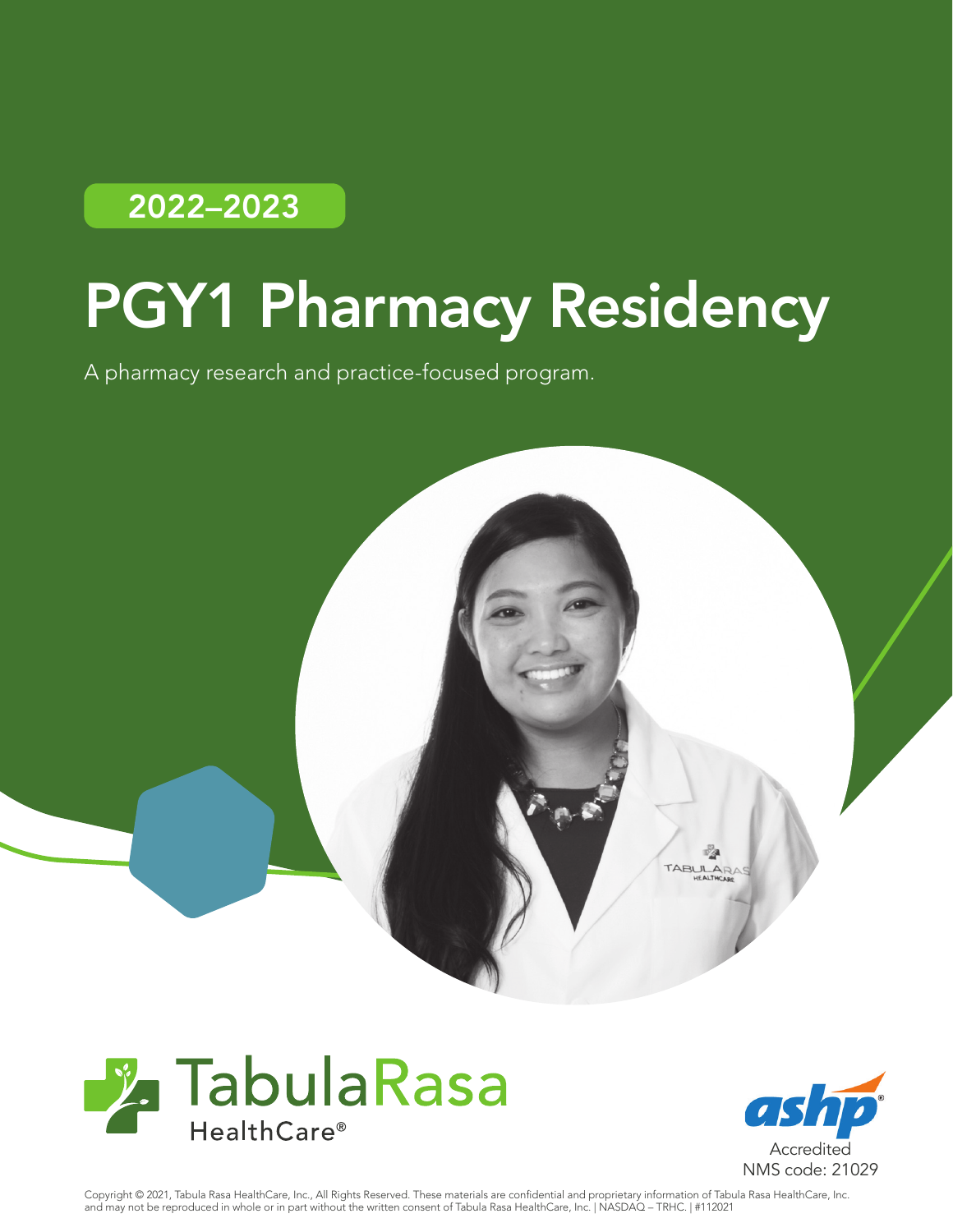# 2022–2023

# PGY1 Pharmacy Residency

A pharmacy research and practice-focused program.







Copyright © 2021, Tabula Rasa HealthCare, Inc., All Rights Reserved. These materials are confidential and proprietary information of Tabula Rasa HealthCare, Inc. and may not be reproduced in whole or in part without the written consent of Tabula Rasa HealthCare, Inc. | NASDAQ – TRHC. | #112021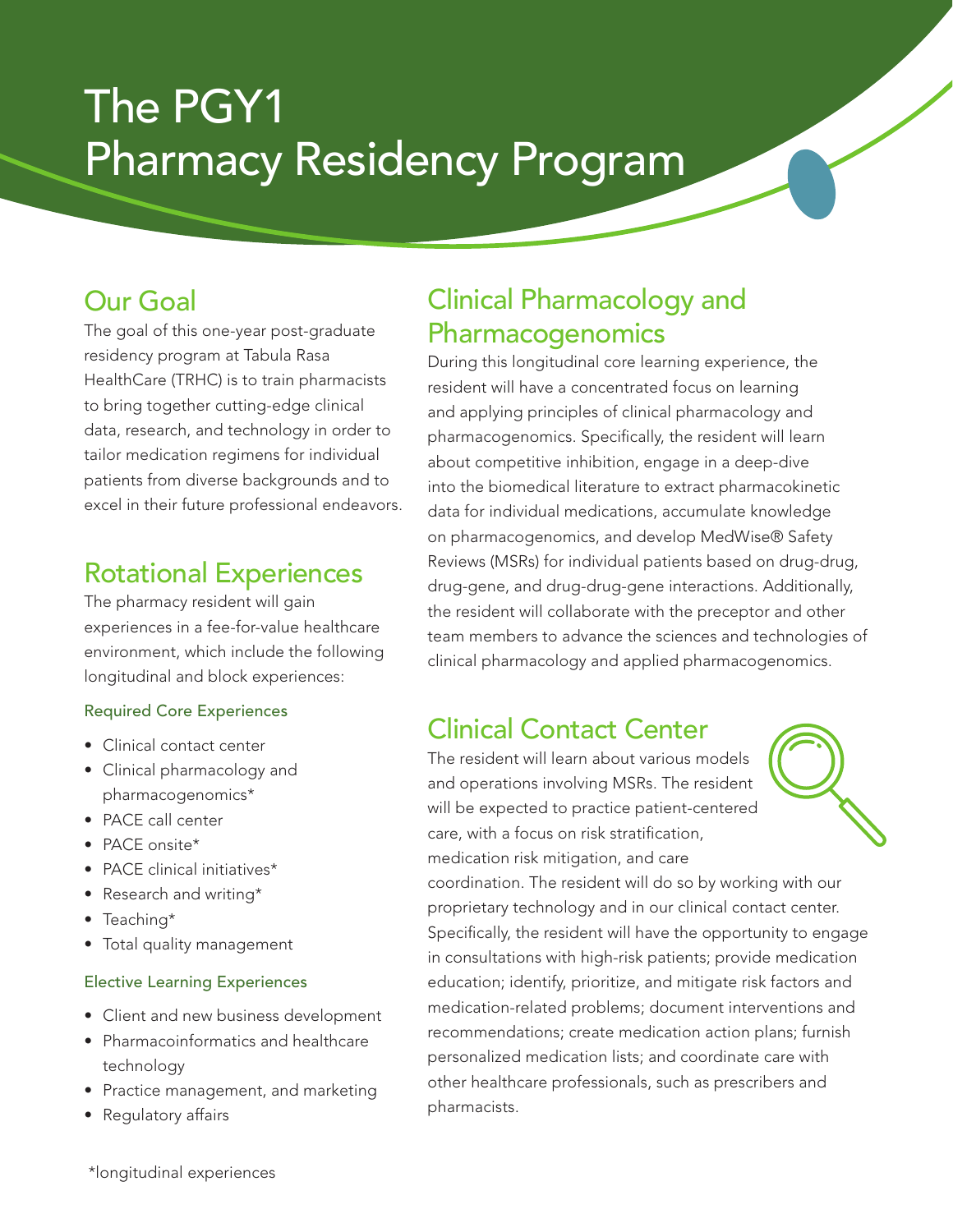# The PGY1 Pharmacy Residency Program

#### Our Goal

The goal of this one-year post-graduate residency program at Tabula Rasa HealthCare (TRHC) is to train pharmacists to bring together cutting-edge clinical data, research, and technology in order to tailor medication regimens for individual patients from diverse backgrounds and to excel in their future professional endeavors.

#### Rotational Experiences

The pharmacy resident will gain experiences in a fee-for-value healthcare environment, which include the following longitudinal and block experiences:

#### Required Core Experiences

- Clinical contact center
- Clinical pharmacology and pharmacogenomics\*
- PACE call center
- PACE onsite\*
- PACE clinical initiatives\*
- Research and writing\*
- Teaching\*
- Total quality management

#### Elective Learning Experiences

- Client and new business development
- Pharmacoinformatics and healthcare technology
- Practice management, and marketing
- Regulatory affairs

#### Clinical Pharmacology and Pharmacogenomics

During this longitudinal core learning experience, the resident will have a concentrated focus on learning and applying principles of clinical pharmacology and pharmacogenomics. Specifically, the resident will learn about competitive inhibition, engage in a deep-dive into the biomedical literature to extract pharmacokinetic data for individual medications, accumulate knowledge on pharmacogenomics, and develop MedWise® Safety Reviews (MSRs) for individual patients based on drug-drug, drug-gene, and drug-drug-gene interactions. Additionally, the resident will collaborate with the preceptor and other team members to advance the sciences and technologies of clinical pharmacology and applied pharmacogenomics.

#### Clinical Contact Center

The resident will learn about various models and operations involving MSRs. The resident will be expected to practice patient-centered care, with a focus on risk stratification, medication risk mitigation, and care

coordination. The resident will do so by working with our proprietary technology and in our clinical contact center. Specifically, the resident will have the opportunity to engage in consultations with high-risk patients; provide medication education; identify, prioritize, and mitigate risk factors and medication-related problems; document interventions and recommendations; create medication action plans; furnish personalized medication lists; and coordinate care with other healthcare professionals, such as prescribers and pharmacists.

\*longitudinal experiences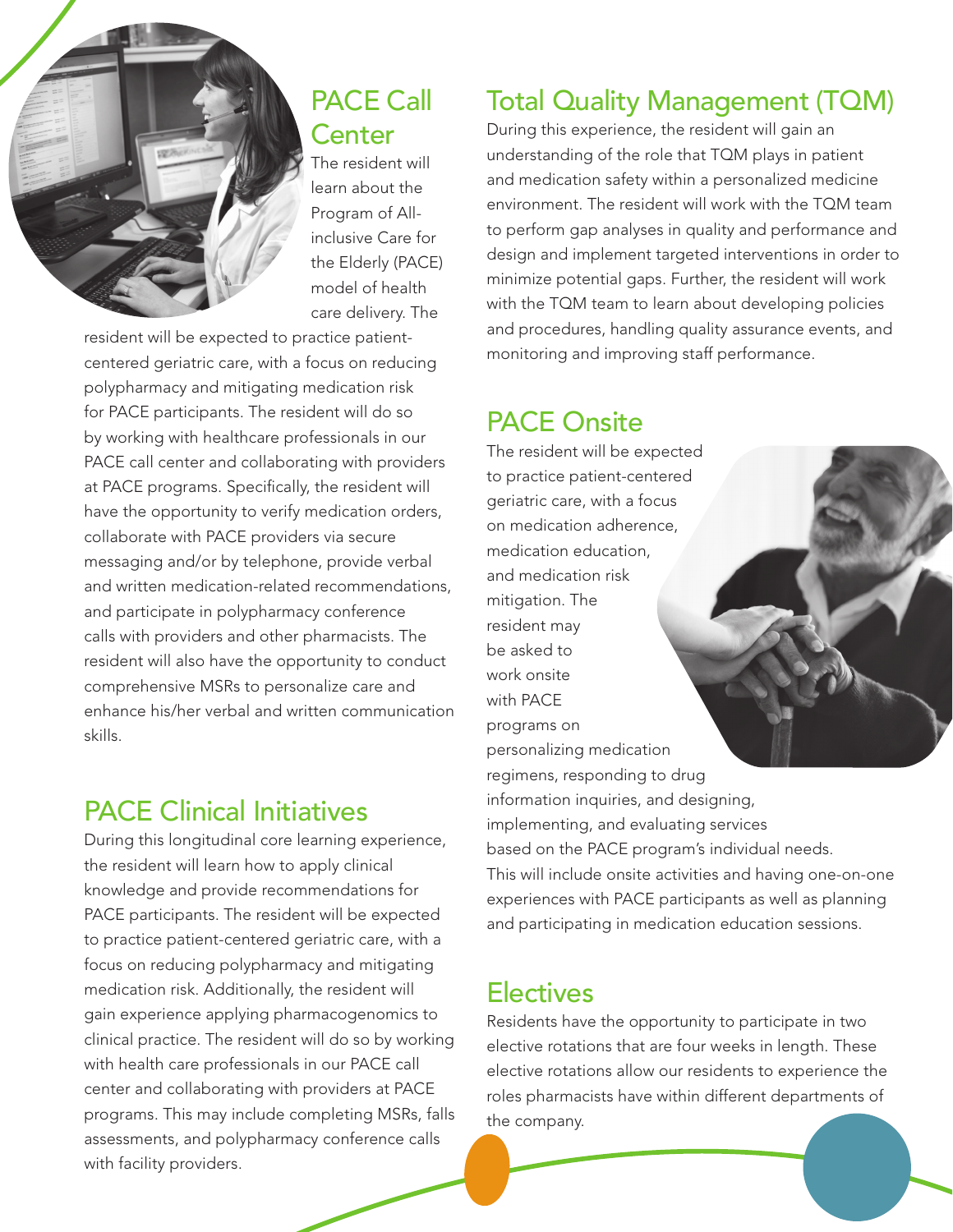

#### PACE Call **Center**

The resident will learn about the Program of Allinclusive Care for the Elderly (PACE) model of health care delivery. The

resident will be expected to practice patientcentered geriatric care, with a focus on reducing polypharmacy and mitigating medication risk for PACE participants. The resident will do so by working with healthcare professionals in our PACE call center and collaborating with providers at PACE programs. Specifically, the resident will have the opportunity to verify medication orders, collaborate with PACE providers via secure messaging and/or by telephone, provide verbal and written medication-related recommendations, and participate in polypharmacy conference calls with providers and other pharmacists. The resident will also have the opportunity to conduct comprehensive MSRs to personalize care and enhance his/her verbal and written communication skills.

#### PACE Clinical Initiatives

During this longitudinal core learning experience, the resident will learn how to apply clinical knowledge and provide recommendations for PACE participants. The resident will be expected to practice patient-centered geriatric care, with a focus on reducing polypharmacy and mitigating medication risk. Additionally, the resident will gain experience applying pharmacogenomics to clinical practice. The resident will do so by working with health care professionals in our PACE call center and collaborating with providers at PACE programs. This may include completing MSRs, falls assessments, and polypharmacy conference calls with facility providers.

#### Total Quality Management (TQM)

During this experience, the resident will gain an understanding of the role that TQM plays in patient and medication safety within a personalized medicine environment. The resident will work with the TQM team to perform gap analyses in quality and performance and design and implement targeted interventions in order to minimize potential gaps. Further, the resident will work with the TQM team to learn about developing policies and procedures, handling quality assurance events, and monitoring and improving staff performance.

#### PACE Onsite

The resident will be expected to practice patient-centered geriatric care, with a focus on medication adherence, medication education, and medication risk mitigation. The resident may be asked to work onsite with PACE programs on personalizing medication regimens, responding to drug information inquiries, and designing, implementing, and evaluating services based on the PACE program's individual needs. This will include onsite activities and having one-on-one experiences with PACE participants as well as planning and participating in medication education sessions.

#### **Electives**

Residents have the opportunity to participate in two elective rotations that are four weeks in length. These elective rotations allow our residents to experience the roles pharmacists have within different departments of the company.